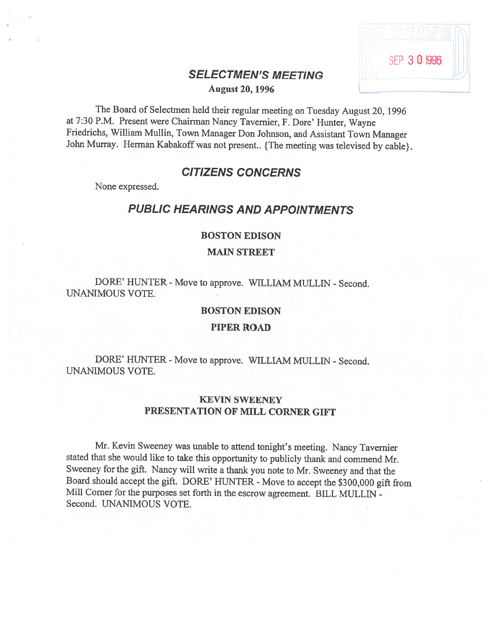# SELECTMEN'S MEETING

 $\lambda$ 

SEP 3 0 1996

August 20, 1996

The Board of Selectmen held their regular meeting on Tuesday August 20, <sup>1996</sup> at 7:30 P.M. Present were Chairman Nancy Tavemier, F. Dore' Hunter, Wayne Friedrichs, William Mullin, Town Manager Don Johnson, and Assistant Town Manager John Murray. Herman Kabakoff was not present.. {The meeting was televised by cable}.

# CITIZENS CONCERNS

None expressed.

# PUBLIC HEARINGS AND APPOINTMENTS

#### BOSTON EDISON

MAIN STREET

DORE' HUNTER - Move to approve. WILLIAM MULLIN - Second. UNANIMOUS VOTE.

#### BOSTON EDISON

PIPER ROAD

DORE' HUNTER - Move to approve. WILLIAM MULLIN - Second. UNANIMOUS VOTE.

## KEVIN SWEENEY PRESENTATION OF MILL CORNER GIFT

Mr. Kevin Sweeney was unable to attend tonight's meeting. Nancy Tavemier stated that she would like to take this opportunity to publicly thank and commend Mr. Sweeney for the <sup>g</sup>ift. Nancy will write <sup>a</sup> thank you note to Mr. Sweeney and that the Board should accept the gift. DORE' HUNTER - Move to accept the \$300,000 gift from Mill Corner for the purposes set forth in the escrow agreement. BILL MULLIN - Second. UNANIMOUS VOTE.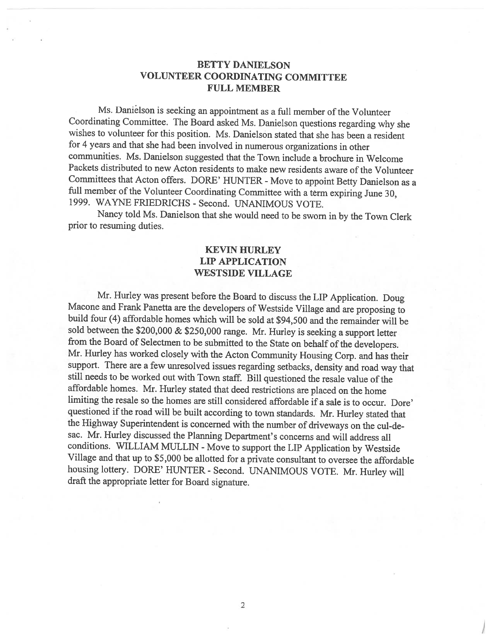## BETTY DANIELSON VOLUNTEER COORDINATING COMMITTEE FULL MEMBER

Ms. Danielson is seeking an appointment as a full member of the Volunteer Coordinating Committee. The Board asked Ms. Danielson questions regarding why she wishes to volunteer for this position. Ms. Danielson stated that she has been <sup>a</sup> resident for <sup>4</sup> years and that she had been involved in numerous organizations in other communities. Ms. Danielson suggested that the Town include <sup>a</sup> brochure in Welcome Packets distributed to new Acton residents to make new residents aware of the Volunteer Committees that Acton offers. DORE' HUNTER - Move to appoint Betty Danielson as a full member of the Volunteer Coordinating Committee with a term expiring June 30, 1999. WAYNE FRIEDRICHS - Second. UNANIMOUS VOTE.

Nancy told Ms. Danielson that she would need to be sworn in by the Town Clerk prior to resuming duties.

## KEVIN HURLEY LIP APPLICATION WESTSIDE VILLAGE

Mr. Hurley was present before the Board to discuss the LIP Application. Doug Macone and Frank Panetta are the developers of Westside Village and are proposing to build four (4) affordable homes which will be sold at \$94,500 and the remainder will be sold between the \$200,000 & \$250,000 range. Mr. Hurley is seeking <sup>a</sup> support letter from the Board of Selectmen to be submitted to the State on behalf of the developers. Mr. Hurley has worked closely with the Acton Community Housing Corp. and has their support. There are <sup>a</sup> few unresolved issues regarding setbacks, density and road way that still needs to be worked out with Town staff. Bill questioned the resale value of the affordable homes. Mr. Hurley stated that deed restrictions are <sup>p</sup>laced on the home limiting the resale so the homes are still considered affordable if <sup>a</sup> sale is to occur. Dore' questioned if the road will be built according to town standards. Mr. Hurley stated that the Highway Superintendent is concerned with the number of driveways on the cul-de sac. Mr. Hurley discussed the Planning Department's concerns and will address all conditions. WILLIAM MULLIN - Move to support the LIP Application by Westside Village and that up to \$5,000 be allotted for <sup>a</sup> private consultant to oversee the affordable housing lottery. DORE' HUNTER - Second. UNANIMOUS VOTE. Mr. Hurley will draft the appropriate letter for Board signature.

I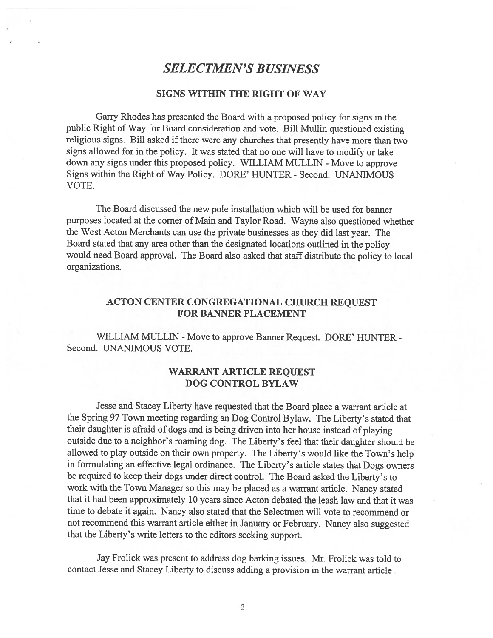# SELECTMEN'S BUSINESS

## SIGNS WITHIN THE RIGHT OF WAY

Garry Rhodes has presented the Board with <sup>a</sup> propose<sup>d</sup> policy for signs in the public Right of Way for Board consideration and vote. Bill Mullin questioned existing religious signs. Bill asked if there were any churches that presently have more than two signs allowed for in the policy. It was stated that no one will have to modify or take down any signs under this proposed policy. WILLIAM MULLIN - Move to approve Signs within the Right of Way Policy. DORE' HUNTER - Second. UNANIMOUS VOTE.

The Board discussed the new pole installation which will be used for banner purposes located at the corner of Main and Taylor Road. Wayne also questioned whether the West Acton Merchants can use the private businesses as they did last year. The Board stated that any area other than the designated locations outlined in the policy would need Board approval. The Board also asked that staff distribute the policy to local organizations.

## ACTON CENTER CONGREGATIONAL CHURCH REQUEST FOR BANNER PLACEMENT

WILLIAM MULLIN - Move to approve Banner Request. DORE' HUNTER -Second. UNANIMOUS VOTE.

#### WARRANT ARTICLE REQUEST DOG CONTROL BYLAW

Jesse and Stacey Liberty have requested that the Board <sup>p</sup>lace <sup>a</sup> warrant article at the Spring <sup>97</sup> Town meeting regarding an Dog Control Bylaw. The Liberty's stated that their daughter is afraid of dogs and is being driven into her house instead of <sup>p</sup>laying outside due to <sup>a</sup> neighbor's roaming dog. The Liberty's feel that their daughter should be allowed to <sup>p</sup>lay outside on their own property. The Liberty's would like the Town's help in formulating an effective legal ordinance. The Liberty's article states that Dogs owners be required to keep their dogs under direct control. The Board asked the Liberty's to work with the Town Manager so this may be <sup>p</sup>laced as <sup>a</sup> warrant article. Nancy stated that it had been approximately 10 years since Acton debated the leash law and that it was time to debate it again. Nancy also stated that the Selectmen will vote to recommend or not recommend this warrant article either in January or February. Nancy also suggested that the Liberty's write letters to the editors seeking support.

Jay frolick was presen<sup>t</sup> to address dog barking issues. Mr. frolick was told to contact Jesse and Stacey Liberty to discuss adding <sup>a</sup> provision in the warrant article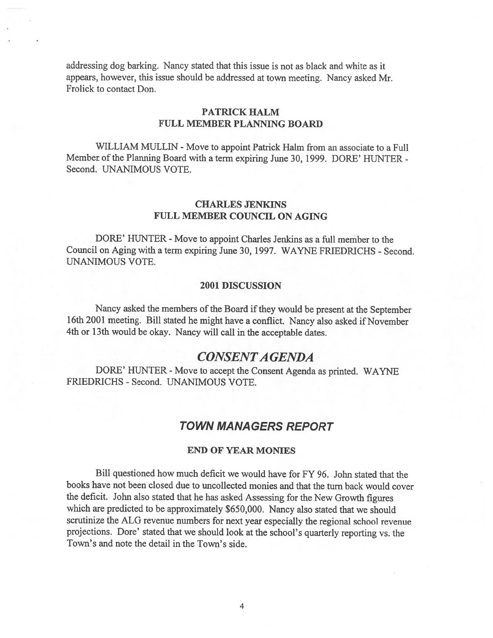addressing dog barking. Nancy stated that this issue is not as black and white as it appears, however, this issue should be addressed at town meeting. Nancy asked Mr. Frolick to contact Don.

## PATRICK HALM FULL MEMBER PLANNING BOARD

WILLIAM MULLIN - Move to appoint Patrick Halm from an associate to a Full Member of the Planning Board with <sup>a</sup> term expiring June 30, 1999. DORE' HUNTER - Second. UNANIMOUS VOTE.

#### CHARLES JENKINS FULL MEMBER COUNCIL ON AGING

DORE' HUNTER - Move to appoint Charles Jenkins as a full member to the Council on Aging with <sup>a</sup> term expiring June 30, 1997. WAYNE FRIEDRICHS - Second. UNANIMOUS VOTE.

#### 2001 DISCUSSION

Nancy asked the members of the Board if they would be present at the September 16th <sup>2001</sup> meeting. Bill stated he might have <sup>a</sup> conflict. Nancy also asked if November 4th or 13th would be okay. Nancy will call in the acceptable dates.

## CONSENTA GENDA

DORE' HUNTER - Move to accept the Consent Agenda as printed. WAYNE FRIEDRICHS - Second. UNANIMOUS VOTE.

## TOWN MANAGERS REPORT

#### END OF YEAR MONIES

Bill questioned how much deficit we would have for FY 96. John stated that the books have not been closed due to uncollected monies and that the turn back would cover the deficit. John also stated that he has asked Assessing for the New Growth figures which are predicted to be approximately \$650,000. Nancy also stated that we should scrutinize the ALG revenue numbers for next year especially the regional school revenue projections. Dore' stated that we should look at the school's quarterly reporting vs. the Town's and note the detail in the Town's side.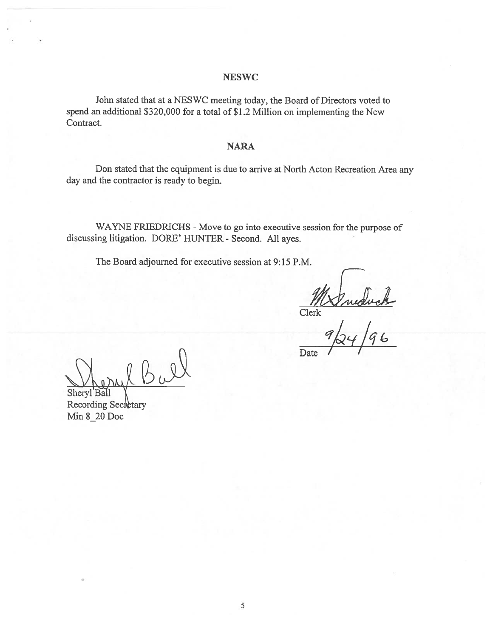#### **NESWC**

John stated that at <sup>a</sup> NESWC meeting today, the Board of Directors voted to spend an additional \$320,000 for <sup>a</sup> total of \$1.2 Million on implementing the New Contract.

#### NARA

Don stated that the equipment is due to arrive at North Acton Recreation Area any day and the contractor is ready to begin.

WAYNE FRIEDRICHS - Move to go into executive session for the purpose of discussing litigation. DORE' HUNTER - Second. All ayes.

The Board adjourned for executive session at 9:15 P.M.

MAnduck<br>Clerk<br>9/24/96

Date

Bal Sheryl Ball

Recording Secretary Min 8\_20 Doc

5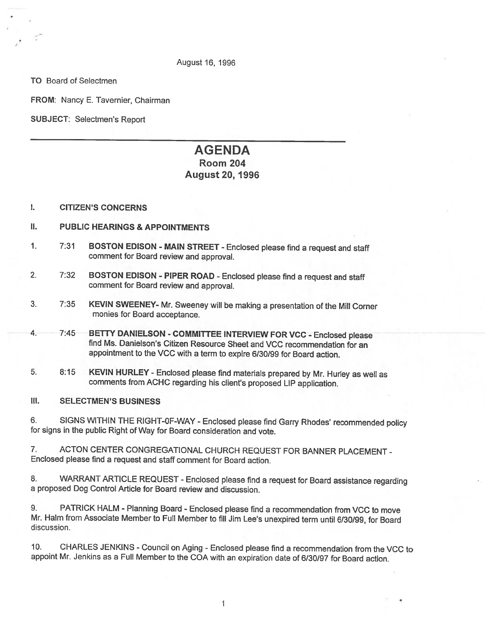#### August 16, 1996

TO Board of Selectmen

FROM: Nancy E. Tavernier, Chairman

SUBJECT: Selectmen's Report

# AGENDA

## Room 204 August 20, 1996

- I. CITIZEN'S CONCERNS
- II. PUBLIC HEARINGS & APPOINTMENTS
- 1. 7:31 BOSTON EDISON MAIN STREET -Enclosed <sup>p</sup>lease find <sup>a</sup> request and staff comment for Board review and approval.
- 2. 7:32 BOSTON EDISON PIPER ROAD Enclosed please find a request and staff comment for Board review and approval.
- 3. 7:35 KEVIN SWEENEY- Mr. Sweeney will be making <sup>a</sup> presentation of the Mill Corner monies for Board acceptance.
- 4. 7:45 BETTY DANIELSON COMMITTEE INTERVIEW FOR VCC Enclosed <sup>p</sup>lease find Ms. Danielson's Citizen Resource Sheet and VCC recommendation for an appointment to the VCC with <sup>a</sup> term to expire 6/30/99 for Board action.
- 5. 8:15 KEVIN HURLEY -Enclosed <sup>p</sup>lease find materials prepared by Mr. Hurley as well as comments from ACHC regarding his client's proposed LIP application.
- Ill. SELECTMEN'S BUSINESS

6. SIGNS WITHIN THE RIGHT-OF-WAY - Enclosed <sup>p</sup>lease find Garry Rhodes' recommended policy for signs in the public Right of Way for Board consideration and vote.

7. ACTON CENTER CONGREGATIONAL CHURCH REQUEST FOR BANNER PLACEMENT - Enclosed please find <sup>a</sup> request and staff comment for Board action.

8. WARRANT ARTICLE REQUEST - Enclosed please find a request for Board assistance regarding <sup>a</sup> proposed Dog Control Article for Board review and discussion.

9. PATRICK HALM - Planning Board - Enclosed please find a recommendation from VCC to move Mr. HaIm from Associate Member to Full Member to fill Jim Lee's unexpired term until 6/30199, for Board discussion.

10. CHARLES JENKINS -Council on Aging - Enclosed <sup>p</sup>lease find <sup>a</sup> recommendation from the VCC to appoint Mr. Jenkins as <sup>a</sup> Full Member to the COA with an expiration date of 6/30/97 for Board action.